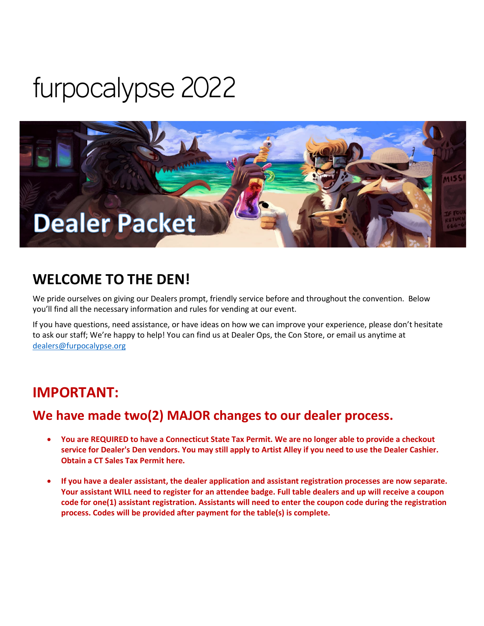# furpocalypse 2022



### **WELCOME TO THE DEN!**

We pride ourselves on giving our Dealers prompt, friendly service before and throughout the convention. Below you'll find all the necessary information and rules for vending at our event.

If you have questions, need assistance, or have ideas on how we can improve your experience, please don't hesitate to ask our staff; We're happy to help! You can find us at Dealer Ops, the Con Store, or email us anytime at [dealers@furpocalypse.org](mailto:dealers@furpocalypse.org)

### **IMPORTANT:**

### **We have made two(2) MAJOR changes to our dealer process.**

- **You are REQUIRED to have a Connecticut State Tax Permit. We are no longer able to provide a checkout service for Dealer's Den vendors. You may still apply to Artist Alley if you need to use the Dealer Cashier. Obtain a CT Sales Tax Permit here.**
- **If you have a dealer assistant, the dealer application and assistant registration processes are now separate. Your assistant WILL need to register for an attendee badge. Full table dealers and up will receive a coupon code for one(1) assistant registration. Assistants will need to enter the coupon code during the registration process. Codes will be provided after payment for the table(s) is complete.**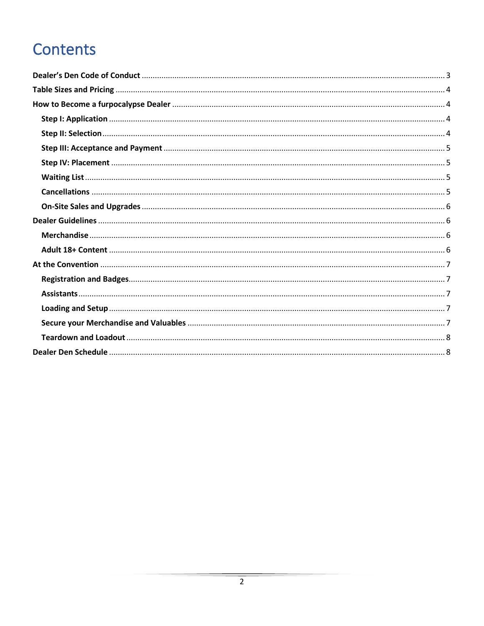# Contents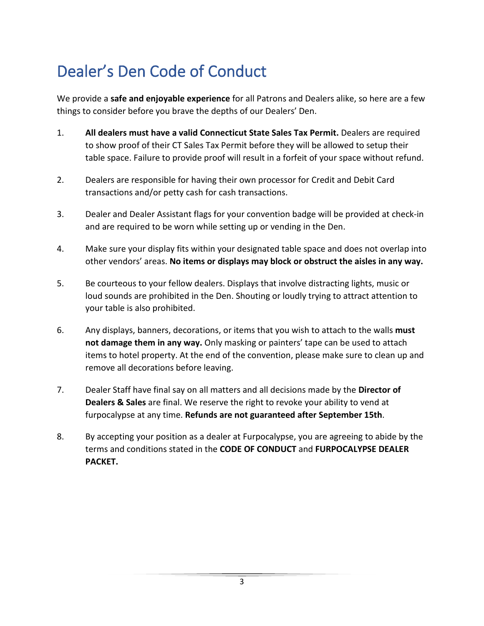# <span id="page-2-0"></span>Dealer's Den Code of Conduct

We provide a **safe and enjoyable experience** for all Patrons and Dealers alike, so here are a few things to consider before you brave the depths of our Dealers' Den.

- 1. **All dealers must have a valid Connecticut State Sales Tax Permit.** Dealers are required to show proof of their CT Sales Tax Permit before they will be allowed to setup their table space. Failure to provide proof will result in a forfeit of your space without refund.
- 2. Dealers are responsible for having their own processor for Credit and Debit Card transactions and/or petty cash for cash transactions.
- 3. Dealer and Dealer Assistant flags for your convention badge will be provided at check-in and are required to be worn while setting up or vending in the Den.
- 4. Make sure your display fits within your designated table space and does not overlap into other vendors' areas. **No items or displays may block or obstruct the aisles in any way.**
- 5. Be courteous to your fellow dealers. Displays that involve distracting lights, music or loud sounds are prohibited in the Den. Shouting or loudly trying to attract attention to your table is also prohibited.
- 6. Any displays, banners, decorations, or items that you wish to attach to the walls **must not damage them in any way.** Only masking or painters' tape can be used to attach items to hotel property. At the end of the convention, please make sure to clean up and remove all decorations before leaving.
- 7. Dealer Staff have final say on all matters and all decisions made by the **Director of Dealers & Sales** are final. We reserve the right to revoke your ability to vend at furpocalypse at any time. **Refunds are not guaranteed after September 15th**.
- 8. By accepting your position as a dealer at Furpocalypse, you are agreeing to abide by the terms and conditions stated in the **CODE OF CONDUCT** and **FURPOCALYPSE DEALER PACKET.**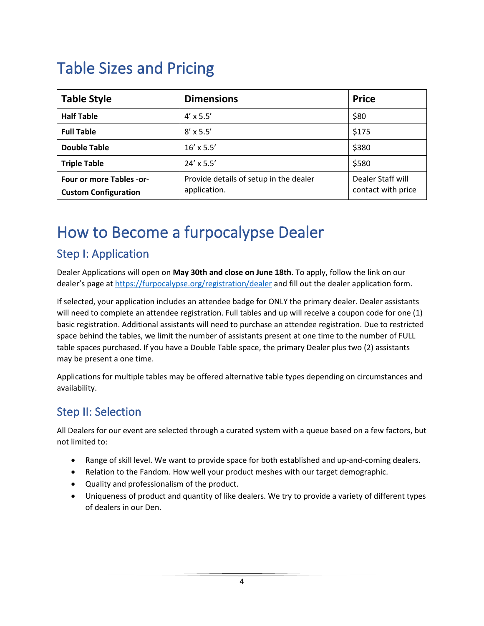# <span id="page-3-0"></span>Table Sizes and Pricing

| <b>Table Style</b>                                      | <b>Dimensions</b>                                      | <b>Price</b>                            |
|---------------------------------------------------------|--------------------------------------------------------|-----------------------------------------|
| <b>Half Table</b>                                       | $4' \times 5.5'$                                       | \$80                                    |
| <b>Full Table</b>                                       | $8' \times 5.5'$                                       | \$175                                   |
| <b>Double Table</b>                                     | $16' \times 5.5'$                                      | \$380                                   |
| <b>Triple Table</b>                                     | $24' \times 5.5'$                                      | \$580                                   |
| Four or more Tables -or-<br><b>Custom Configuration</b> | Provide details of setup in the dealer<br>application. | Dealer Staff will<br>contact with price |

### <span id="page-3-1"></span>How to Become a furpocalypse Dealer

#### <span id="page-3-2"></span>Step I: Application

Dealer Applications will open on **May 30th and close on June 18th**. To apply, follow the link on our dealer's page a[t https://furpocalypse.org/registration/dealer](https://furpocalypse.org/registration/dealer) and fill out the dealer application form.

If selected, your application includes an attendee badge for ONLY the primary dealer. Dealer assistants will need to complete an attendee registration. Full tables and up will receive a coupon code for one (1) basic registration. Additional assistants will need to purchase an attendee registration. Due to restricted space behind the tables, we limit the number of assistants present at one time to the number of FULL table spaces purchased. If you have a Double Table space, the primary Dealer plus two (2) assistants may be present a one time.

Applications for multiple tables may be offered alternative table types depending on circumstances and availability.

#### <span id="page-3-3"></span>Step II: Selection

All Dealers for our event are selected through a curated system with a queue based on a few factors, but not limited to:

- Range of skill level. We want to provide space for both established and up-and-coming dealers.
- Relation to the Fandom. How well your product meshes with our target demographic.
- Quality and professionalism of the product.
- Uniqueness of product and quantity of like dealers. We try to provide a variety of different types of dealers in our Den.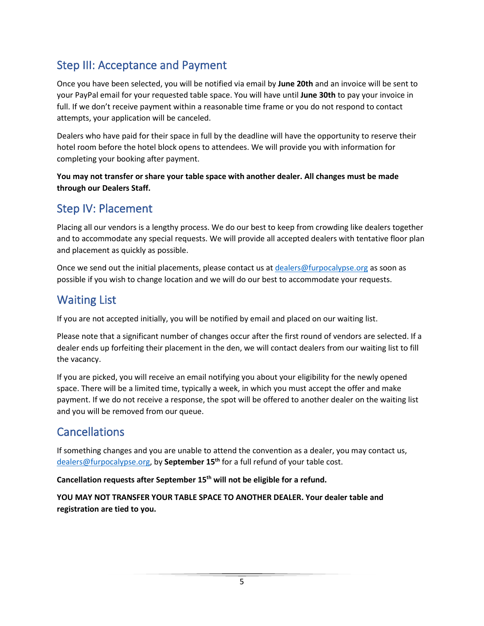### <span id="page-4-0"></span>Step III: Acceptance and Payment

Once you have been selected, you will be notified via email by **June 20th** and an invoice will be sent to your PayPal email for your requested table space. You will have until **June 30th** to pay your invoice in full. If we don't receive payment within a reasonable time frame or you do not respond to contact attempts, your application will be canceled.

Dealers who have paid for their space in full by the deadline will have the opportunity to reserve their hotel room before the hotel block opens to attendees. We will provide you with information for completing your booking after payment.

**You may not transfer or share your table space with another dealer. All changes must be made through our Dealers Staff.**

#### <span id="page-4-1"></span>Step IV: Placement

Placing all our vendors is a lengthy process. We do our best to keep from crowding like dealers together and to accommodate any special requests. We will provide all accepted dealers with tentative floor plan and placement as quickly as possible.

Once we send out the initial placements, please contact us at **dealers@furpocalypse.org** as soon as possible if you wish to change location and we will do our best to accommodate your requests.

#### <span id="page-4-2"></span>Waiting List

If you are not accepted initially, you will be notified by email and placed on our waiting list.

Please note that a significant number of changes occur after the first round of vendors are selected. If a dealer ends up forfeiting their placement in the den, we will contact dealers from our waiting list to fill the vacancy.

If you are picked, you will receive an email notifying you about your eligibility for the newly opened space. There will be a limited time, typically a week, in which you must accept the offer and make payment. If we do not receive a response, the spot will be offered to another dealer on the waiting list and you will be removed from our queue.

#### <span id="page-4-3"></span>**Cancellations**

If something changes and you are unable to attend the convention as a dealer, you may contact us, [dealers@furpocalypse.org,](mailto:dealers@furpocalypse.org) by **September 15th** for a full refund of your table cost.

**Cancellation requests after September 15th will not be eligible for a refund.**

**YOU MAY NOT TRANSFER YOUR TABLE SPACE TO ANOTHER DEALER. Your dealer table and registration are tied to you.**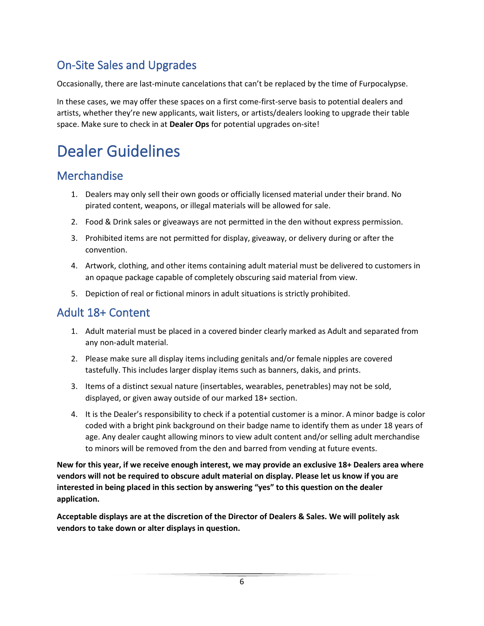### <span id="page-5-0"></span>On-Site Sales and Upgrades

Occasionally, there are last-minute cancelations that can't be replaced by the time of Furpocalypse.

In these cases, we may offer these spaces on a first come-first-serve basis to potential dealers and artists, whether they're new applicants, wait listers, or artists/dealers looking to upgrade their table space. Make sure to check in at **Dealer Ops** for potential upgrades on-site!

# <span id="page-5-1"></span>Dealer Guidelines

#### <span id="page-5-2"></span>**Merchandise**

- 1. Dealers may only sell their own goods or officially licensed material under their brand. No pirated content, weapons, or illegal materials will be allowed for sale.
- 2. Food & Drink sales or giveaways are not permitted in the den without express permission.
- 3. Prohibited items are not permitted for display, giveaway, or delivery during or after the convention.
- 4. Artwork, clothing, and other items containing adult material must be delivered to customers in an opaque package capable of completely obscuring said material from view.
- 5. Depiction of real or fictional minors in adult situations is strictly prohibited.

#### <span id="page-5-3"></span>Adult 18+ Content

- 1. Adult material must be placed in a covered binder clearly marked as Adult and separated from any non-adult material.
- 2. Please make sure all display items including genitals and/or female nipples are covered tastefully. This includes larger display items such as banners, dakis, and prints.
- 3. Items of a distinct sexual nature (insertables, wearables, penetrables) may not be sold, displayed, or given away outside of our marked 18+ section.
- 4. It is the Dealer's responsibility to check if a potential customer is a minor. A minor badge is color coded with a bright pink background on their badge name to identify them as under 18 years of age. Any dealer caught allowing minors to view adult content and/or selling adult merchandise to minors will be removed from the den and barred from vending at future events.

**New for this year, if we receive enough interest, we may provide an exclusive 18+ Dealers area where vendors will not be required to obscure adult material on display. Please let us know if you are interested in being placed in this section by answering "yes" to this question on the dealer application.**

**Acceptable displays are at the discretion of the Director of Dealers & Sales. We will politely ask vendors to take down or alter displays in question.**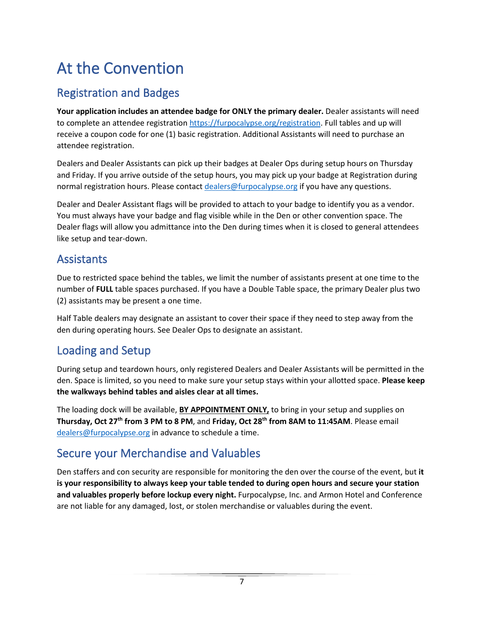# <span id="page-6-0"></span>At the Convention

### <span id="page-6-1"></span>Registration and Badges

**Your application includes an attendee badge for ONLY the primary dealer.** Dealer assistants will need to complete an attendee registratio[n https://furpocalypse.org/registration.](https://furpocalypse.org/registration) Full tables and up will receive a coupon code for one (1) basic registration. Additional Assistants will need to purchase an attendee registration.

Dealers and Dealer Assistants can pick up their badges at Dealer Ops during setup hours on Thursday and Friday. If you arrive outside of the setup hours, you may pick up your badge at Registration during normal registration hours. Please contact [dealers@furpocalypse.org](mailto:dealers@furpocalypse.org) if you have any questions.

Dealer and Dealer Assistant flags will be provided to attach to your badge to identify you as a vendor. You must always have your badge and flag visible while in the Den or other convention space. The Dealer flags will allow you admittance into the Den during times when it is closed to general attendees like setup and tear-down.

#### <span id="page-6-2"></span>**Assistants**

Due to restricted space behind the tables, we limit the number of assistants present at one time to the number of **FULL** table spaces purchased. If you have a Double Table space, the primary Dealer plus two (2) assistants may be present a one time.

Half Table dealers may designate an assistant to cover their space if they need to step away from the den during operating hours. See Dealer Ops to designate an assistant.

#### <span id="page-6-3"></span>Loading and Setup

During setup and teardown hours, only registered Dealers and Dealer Assistants will be permitted in the den. Space is limited, so you need to make sure your setup stays within your allotted space. **Please keep the walkways behind tables and aisles clear at all times.**

The loading dock will be available, **BY APPOINTMENT ONLY,** to bring in your setup and supplies on **Thursday, Oct 27th from 3 PM to 8 PM**, and **Friday, Oct 28th from 8AM to 11:45AM**. Please email [dealers@furpocalypse.org](mailto:dealers@furpocalypse.org) in advance to schedule a time.

#### <span id="page-6-4"></span>Secure your Merchandise and Valuables

Den staffers and con security are responsible for monitoring the den over the course of the event, but **it is your responsibility to always keep your table tended to during open hours and secure your station and valuables properly before lockup every night.** Furpocalypse, Inc. and Armon Hotel and Conference are not liable for any damaged, lost, or stolen merchandise or valuables during the event.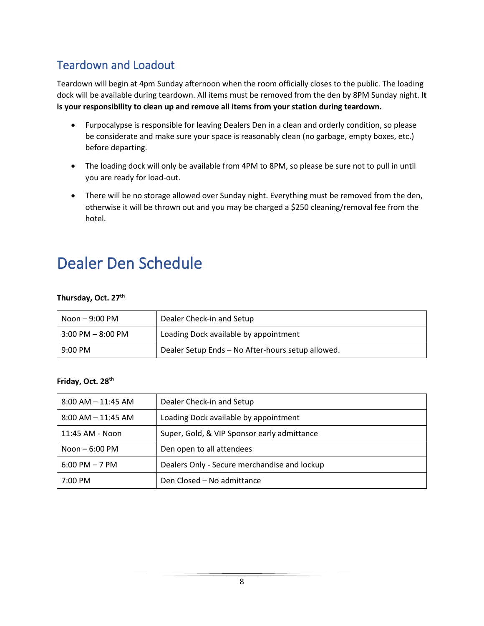### <span id="page-7-0"></span>Teardown and Loadout

Teardown will begin at 4pm Sunday afternoon when the room officially closes to the public. The loading dock will be available during teardown. All items must be removed from the den by 8PM Sunday night. **It is your responsibility to clean up and remove all items from your station during teardown.**

- Furpocalypse is responsible for leaving Dealers Den in a clean and orderly condition, so please be considerate and make sure your space is reasonably clean (no garbage, empty boxes, etc.) before departing.
- The loading dock will only be available from 4PM to 8PM, so please be sure not to pull in until you are ready for load-out.
- There will be no storage allowed over Sunday night. Everything must be removed from the den, otherwise it will be thrown out and you may be charged a \$250 cleaning/removal fee from the hotel.

### <span id="page-7-1"></span>Dealer Den Schedule

#### **Thursday, Oct. 27th**

| $N$ oon $-$ 9:00 PM  | Dealer Check-in and Setup                         |
|----------------------|---------------------------------------------------|
| $3:00$ PM $ 8:00$ PM | Loading Dock available by appointment             |
| $9:00$ PM            | Dealer Setup Ends - No After-hours setup allowed. |

#### **Friday, Oct. 28th**

| $8:00$ AM $-$ 11:45 AM | Dealer Check-in and Setup                    |
|------------------------|----------------------------------------------|
| $8:00$ AM $-$ 11:45 AM | Loading Dock available by appointment        |
| 11:45 AM - Noon        | Super, Gold, & VIP Sponsor early admittance  |
| Noon $-6:00$ PM        | Den open to all attendees                    |
| $6:00$ PM $-7$ PM      | Dealers Only - Secure merchandise and lockup |
| $7:00 \text{ PM}$      | Den Closed – No admittance                   |